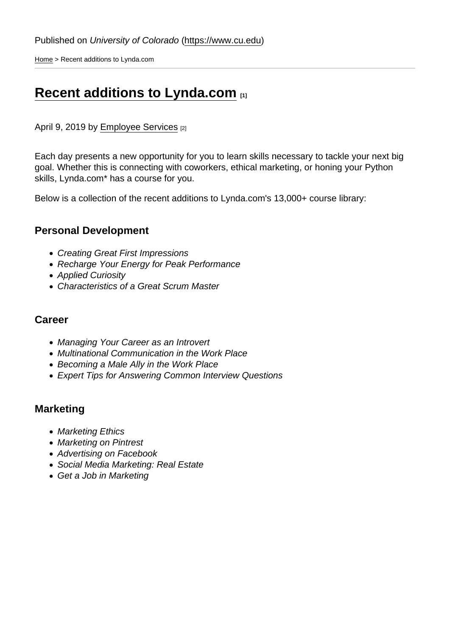[Home](https://www.cu.edu/) > Recent additions to Lynda.com

# [Recent additions to Lynda.com](https://www.cu.edu/blog/work-life/recent-additions-lyndacom) [1]

April 9, 2019 by [Employee Services](https://www.cu.edu/blog/work-life/author/20324) [2]

Each day presents a new opportunity for you to learn skills necessary to tackle your next big goal. Whether this is connecting with coworkers, ethical marketing, or honing your Python skills, Lynda.com\* has a course for you.

Below is a collection of the recent additions to Lynda.com's 13,000+ course library:

#### Personal Development

- Creating Great First Impressions
- Recharge Your Energy for Peak Performance
- Applied Curiosity
- Characteristics of a Great Scrum Master

#### **Career**

- Managing Your Career as an Introvert
- Multinational Communication in the Work Place
- Becoming a Male Ally in the Work Place
- Expert Tips for Answering Common Interview Questions

### **Marketing**

- Marketing Ethics
- Marketing on Pintrest
- Advertising on Facebook
- Social Media Marketing: Real Estate
- Get a Job in Marketing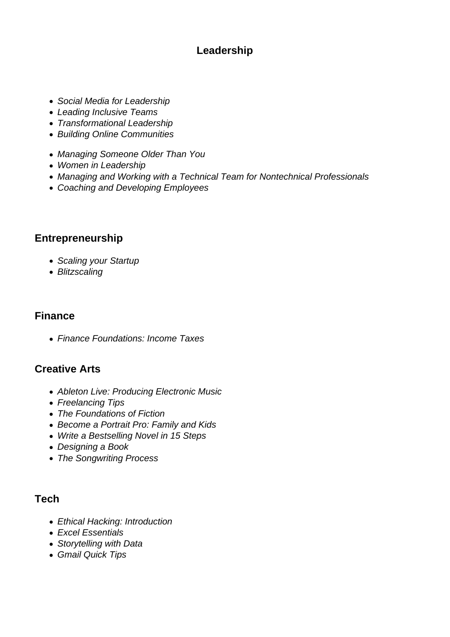### **Leadership**

- Social Media for Leadership
- Leading Inclusive Teams
- Transformational Leadership
- Building Online Communities
- Managing Someone Older Than You
- Women in Leadership
- Managing and Working with a Technical Team for Nontechnical Professionals
- Coaching and Developing Employees

## **Entrepreneurship**

- Scaling your Startup
- Blitzscaling

### **Finance**

Finance Foundations: Income Taxes

## **Creative Arts**

- Ableton Live: Producing Electronic Music
- Freelancing Tips
- The Foundations of Fiction
- Become a Portrait Pro: Family and Kids
- Write a Bestselling Novel in 15 Steps
- Designing a Book
- The Songwriting Process

### **Tech**

- Ethical Hacking: Introduction
- Excel Essentials
- Storytelling with Data
- Gmail Quick Tips